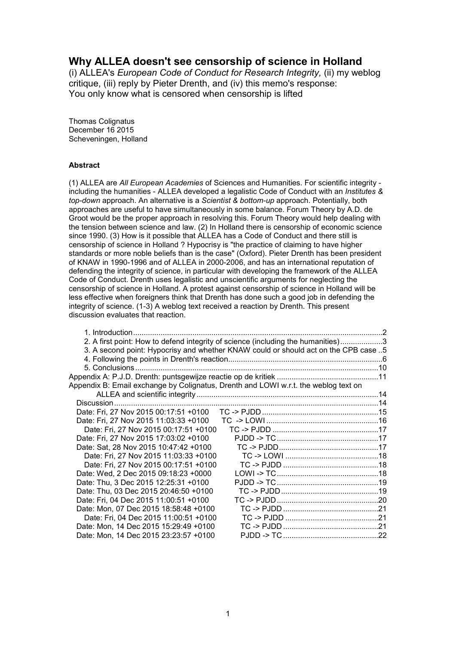# **Why ALLEA doesn't see censorship of science in Holland**

(i) ALLEA's *European Code of Conduct for Research Integrity,* (ii) my weblog critique, (iii) reply by Pieter Drenth, and (iv) this memo's response: You only know what is censored when censorship is lifted

Thomas Colignatus December 16 2015 Scheveningen, Holland

#### **Abstract**

(1) ALLEA are *All European Academies* of Sciences and Humanities. For scientific integrity including the humanities - ALLEA developed a legalistic Code of Conduct with an *Institutes & top-down* approach. An alternative is a *Scientist & bottom-up* approach. Potentially, both approaches are useful to have simultaneously in some balance. Forum Theory by A.D. de Groot would be the proper approach in resolving this. Forum Theory would help dealing with the tension between science and law. (2) In Holland there is censorship of economic science since 1990. (3) How is it possible that ALLEA has a Code of Conduct and there still is censorship of science in Holland ? Hypocrisy is "the practice of claiming to have higher standards or more noble beliefs than is the case" (Oxford). Pieter Drenth has been president of KNAW in 1990-1996 and of ALLEA in 2000-2006, and has an international reputation of defending the integrity of science, in particular with developing the framework of the ALLEA Code of Conduct. Drenth uses legalistic and unscientific arguments for neglecting the censorship of science in Holland. A protest against censorship of science in Holland will be less effective when foreigners think that Drenth has done such a good job in defending the integrity of science. (1-3) A weblog text received a reaction by Drenth. This present discussion evaluates that reaction.

| 1. Introduction.                                                                    |                                                                                     |  |
|-------------------------------------------------------------------------------------|-------------------------------------------------------------------------------------|--|
|                                                                                     | 2. A first point: How to defend integrity of science (including the humanities)3    |  |
|                                                                                     | 3. A second point: Hypocrisy and whether KNAW could or should act on the CPB case 5 |  |
|                                                                                     |                                                                                     |  |
|                                                                                     |                                                                                     |  |
|                                                                                     |                                                                                     |  |
| Appendix B: Email exchange by Colignatus, Drenth and LOWI w.r.t. the weblog text on |                                                                                     |  |
|                                                                                     |                                                                                     |  |
|                                                                                     |                                                                                     |  |
|                                                                                     |                                                                                     |  |
| Date: Fri, 27 Nov 2015 11:03:33 +0100                                               |                                                                                     |  |
| Date: Fri, 27 Nov 2015 00:17:51 +0100                                               |                                                                                     |  |
| Date: Fri, 27 Nov 2015 17:03:02 +0100                                               |                                                                                     |  |
| Date: Sat, 28 Nov 2015 10:47:42 +0100                                               |                                                                                     |  |
| Date: Fri, 27 Nov 2015 11:03:33 +0100                                               |                                                                                     |  |
| Date: Fri, 27 Nov 2015 00:17:51 +0100                                               |                                                                                     |  |
| Date: Wed, 2 Dec 2015 09:18:23 +0000                                                |                                                                                     |  |
| Date: Thu, 3 Dec 2015 12:25:31 +0100                                                |                                                                                     |  |
| Date: Thu, 03 Dec 2015 20:46:50 +0100                                               |                                                                                     |  |
| Date: Fri, 04 Dec 2015 11:00:51 +0100                                               |                                                                                     |  |
| Date: Mon, 07 Dec 2015 18:58:48 +0100                                               |                                                                                     |  |
| Date: Fri, 04 Dec 2015 11:00:51 +0100                                               |                                                                                     |  |
| Date: Mon, 14 Dec 2015 15:29:49 +0100                                               |                                                                                     |  |
| Date: Mon, 14 Dec 2015 23:23:57 +0100                                               |                                                                                     |  |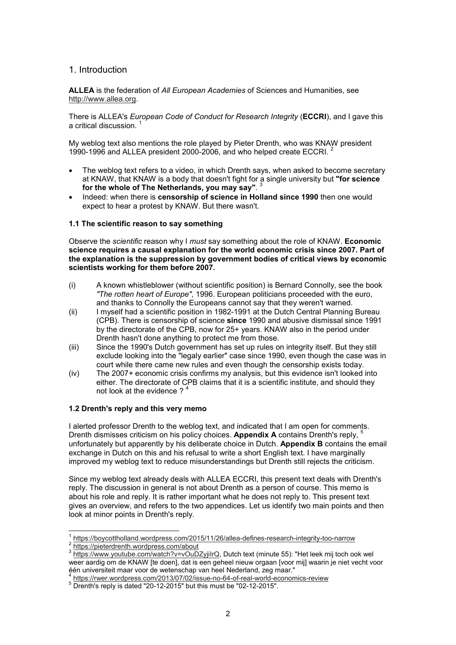### 1. Introduction

**ALLEA** is the federation of *All European Academies* of Sciences and Humanities, see http://www.allea.org.

There is ALLEA's *European Code of Conduct for Research Integrity* (**ECCRI**), and I gave this a critical discussion. <sup>1</sup>

My weblog text also mentions the role played by Pieter Drenth, who was KNAW president 1990-1996 and ALLEA president 2000-2006, and who helped create ECCRI. <sup>2</sup>

- The weblog text refers to a video, in which Drenth says, when asked to become secretary at KNAW, that KNAW is a body that doesn't fight for a single university but **"for science for the whole of The Netherlands, you may say"**. 3
- Indeed: when there is **censorship of science in Holland since 1990** then one would expect to hear a protest by KNAW. But there wasn't.

#### **1.1 The scientific reason to say something**

Observe the *scientific* reason why I *must* say something about the role of KNAW. **Economic science requires a causal explanation for the world economic crisis since 2007. Part of the explanation is the suppression by government bodies of critical views by economic scientists working for them before 2007.**

- (i) A known whistleblower (without scientific position) is Bernard Connolly, see the book *"The rotten heart of Europe",* 1996. European politicians proceeded with the euro, and thanks to Connolly the Europeans cannot say that they weren't warned.
- (ii) I myself had a scientific position in 1982-1991 at the Dutch Central Planning Bureau (CPB). There is censorship of science **since** 1990 and abusive dismissal since 1991 by the directorate of the CPB, now for 25+ years. KNAW also in the period under Drenth hasn't done anything to protect me from those.
- (iii) Since the 1990's Dutch government has set up rules on integrity itself. But they still exclude looking into the "legaly earlier" case since 1990, even though the case was in court while there came new rules and even though the censorship exists today.
- (iv) The 2007+ economic crisis confirms my analysis, but this evidence isn't looked into either. The directorate of CPB claims that it is a scientific institute, and should they not look at the evidence ?<sup>4</sup>

#### **1.2 Drenth's reply and this very memo**

I alerted professor Drenth to the weblog text, and indicated that I am open for comments. Drenth dismisses criticism on his policy choices. **Appendix A** contains Drenth's reply, <sup>5</sup> unfortunately but apparently by his deliberate choice in Dutch. **Appendix B** contains the email exchange in Dutch on this and his refusal to write a short English text. I have marginally improved my weblog text to reduce misunderstandings but Drenth still rejects the criticism.

Since my weblog text already deals with ALLEA ECCRI, this present text deals with Drenth's reply. The discussion in general is not about Drenth as a person of course. This memo is about his role and reply. It is rather important what he does not reply to. This present text gives an overview, and refers to the two appendices. Let us identify two main points and then look at minor points in Drenth's reply.

https://pieterdrenth.wordpress.com/about

 $\overline{\phantom{a}}$ 

<sup>1</sup> https://boycottholland.wordpress.com/2015/11/26/allea-defines-research-integrity-too-narrow  $\overline{2}$ 

<sup>3</sup> https://www.youtube.com/watch?v=vOuDZyjiIrQ, Dutch text (minute 55): "Het leek mij toch ook wel weer aardig om de KNAW [te doen], dat is een geheel nieuw orgaan [voor mij] waarin je niet vecht voor één universiteit maar voor de wetenschap van heel Nederland, zeg maar."

<sup>4</sup> https://rwer.wordpress.com/2013/07/02/issue-no-64-of-real-world-economics-review

 $5$  Drenth's reply is dated "20-12-2015" but this must be "02-12-2015".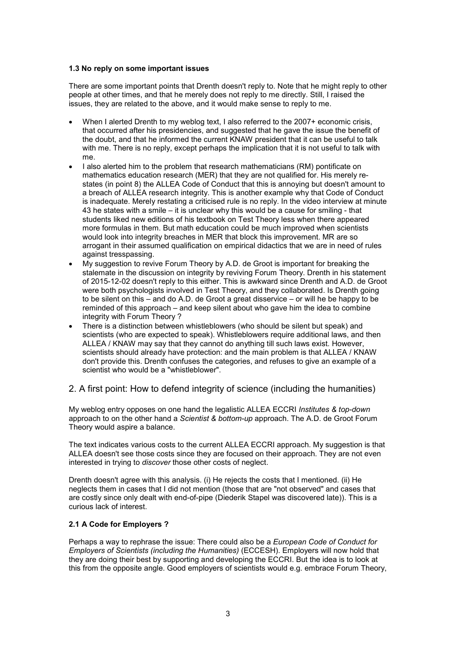#### **1.3 No reply on some important issues**

There are some important points that Drenth doesn't reply to. Note that he might reply to other people at other times, and that he merely does not reply to me directly. Still, I raised the issues, they are related to the above, and it would make sense to reply to me.

- When I alerted Drenth to my weblog text, I also referred to the 2007+ economic crisis, that occurred after his presidencies, and suggested that he gave the issue the benefit of the doubt, and that he informed the current KNAW president that it can be useful to talk with me. There is no reply, except perhaps the implication that it is not useful to talk with me.
- I also alerted him to the problem that research mathematicians (RM) pontificate on mathematics education research (MER) that they are not qualified for. His merely restates (in point 8) the ALLEA Code of Conduct that this is annoying but doesn't amount to a breach of ALLEA research integrity. This is another example why that Code of Conduct is inadequate. Merely restating a criticised rule is no reply. In the video interview at minute 43 he states with a smile – it is unclear why this would be a cause for smiling - that students liked new editions of his textbook on Test Theory less when there appeared more formulas in them. But math education could be much improved when scientists would look into integrity breaches in MER that block this improvement. MR are so arrogant in their assumed qualification on empirical didactics that we are in need of rules against tresspassing.
- My suggestion to revive Forum Theory by A.D. de Groot is important for breaking the stalemate in the discussion on integrity by reviving Forum Theory. Drenth in his statement of 2015-12-02 doesn't reply to this either. This is awkward since Drenth and A.D. de Groot were both psychologists involved in Test Theory, and they collaborated. Is Drenth going to be silent on this – and do A.D. de Groot a great disservice – or will he be happy to be reminded of this approach – and keep silent about who gave him the idea to combine integrity with Forum Theory ?
- There is a distinction between whistleblowers (who should be silent but speak) and scientists (who are expected to speak). Whistleblowers require additional laws, and then ALLEA / KNAW may say that they cannot do anything till such laws exist. However, scientists should already have protection: and the main problem is that ALLEA / KNAW don't provide this. Drenth confuses the categories, and refuses to give an example of a scientist who would be a "whistleblower".

# 2. A first point: How to defend integrity of science (including the humanities)

My weblog entry opposes on one hand the legalistic ALLEA ECCRI *Institutes & top-down* approach to on the other hand a *Scientist & bottom-up* approach. The A.D. de Groot Forum Theory would aspire a balance.

The text indicates various costs to the current ALLEA ECCRI approach. My suggestion is that ALLEA doesn't see those costs since they are focused on their approach. They are not even interested in trying to *discover* those other costs of neglect.

Drenth doesn't agree with this analysis. (i) He rejects the costs that I mentioned. (ii) He neglects them in cases that I did not mention (those that are "not observed" and cases that are costly since only dealt with end-of-pipe (Diederik Stapel was discovered late)). This is a curious lack of interest.

#### **2.1 A Code for Employers ?**

Perhaps a way to rephrase the issue: There could also be a *European Code of Conduct for Employers of Scientists (including the Humanities)* (ECCESH). Employers will now hold that they are doing their best by supporting and developing the ECCRI. But the idea is to look at this from the opposite angle. Good employers of scientists would e.g. embrace Forum Theory,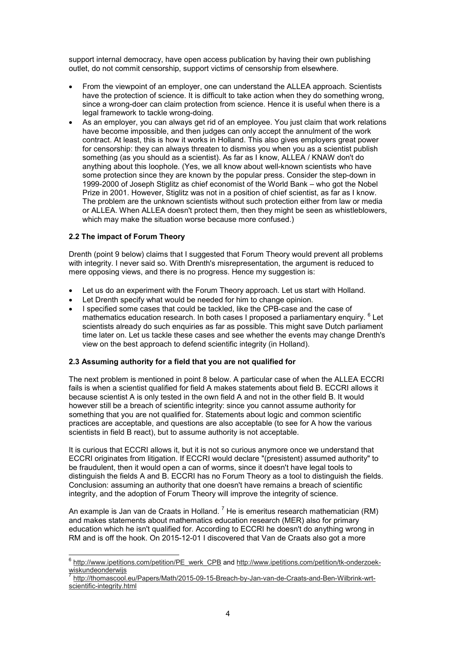support internal democracy, have open access publication by having their own publishing outlet, do not commit censorship, support victims of censorship from elsewhere.

- From the viewpoint of an employer, one can understand the ALLEA approach. Scientists have the protection of science. It is difficult to take action when they do something wrong, since a wrong-doer can claim protection from science. Hence it is useful when there is a legal framework to tackle wrong-doing.
- As an employer, you can always get rid of an employee. You just claim that work relations have become impossible, and then judges can only accept the annulment of the work contract. At least, this is how it works in Holland. This also gives employers great power for censorship: they can always threaten to dismiss you when you as a scientist publish something (as you should as a scientist). As far as I know, ALLEA / KNAW don't do anything about this loophole. (Yes, we all know about well-known scientists who have some protection since they are known by the popular press. Consider the step-down in 1999-2000 of Joseph Stiglitz as chief economist of the World Bank – who got the Nobel Prize in 2001. However, Stiglitz was not in a position of chief scientist, as far as I know. The problem are the unknown scientists without such protection either from law or media or ALLEA. When ALLEA doesn't protect them, then they might be seen as whistleblowers, which may make the situation worse because more confused.)

#### **2.2 The impact of Forum Theory**

Drenth (point 9 below) claims that I suggested that Forum Theory would prevent all problems with integrity. I never said so. With Drenth's misrepresentation, the argument is reduced to mere opposing views, and there is no progress. Hence my suggestion is:

- Let us do an experiment with the Forum Theory approach. Let us start with Holland.
- Let Drenth specify what would be needed for him to change opinion.
- I specified some cases that could be tackled, like the CPB-case and the case of mathematics education research. In both cases I proposed a parliamentary enquiry.  $^6$  Let scientists already do such enquiries as far as possible. This might save Dutch parliament time later on. Let us tackle these cases and see whether the events may change Drenth's view on the best approach to defend scientific integrity (in Holland).

#### **2.3 Assuming authority for a field that you are not qualified for**

The next problem is mentioned in point 8 below. A particular case of when the ALLEA ECCRI fails is when a scientist qualified for field A makes statements about field B. ECCRI allows it because scientist A is only tested in the own field A and not in the other field B. It would however still be a breach of scientific integrity: since you cannot assume authority for something that you are not qualified for. Statements about logic and common scientific practices are acceptable, and questions are also acceptable (to see for A how the various scientists in field B react), but to assume authority is not acceptable.

It is curious that ECCRI allows it, but it is not so curious anymore once we understand that ECCRI originates from litigation. If ECCRI would declare "(presistent) assumed authority" to be fraudulent, then it would open a can of worms, since it doesn't have legal tools to distinguish the fields A and B. ECCRI has no Forum Theory as a tool to distinguish the fields. Conclusion: assuming an authority that one doesn't have remains a breach of scientific integrity, and the adoption of Forum Theory will improve the integrity of science.

An example is Jan van de Craats in Holland.  $^7$  He is emeritus research mathematician (RM) and makes statements about mathematics education research (MER) also for primary education which he isn't qualified for. According to ECCRI he doesn't do anything wrong in RM and is off the hook. On 2015-12-01 I discovered that Van de Craats also got a more

e<br><mark>6 http://www.ipetitions.com/petition/PE\_werk\_CPB</mark> and <u>http://www.ipetitions.com/petition/tk-onderzoek-</u> wiskundeonderwijs

<sup>7</sup> http://thomascool.eu/Papers/Math/2015-09-15-Breach-by-Jan-van-de-Craats-and-Ben-Wilbrink-wrtscientific-integrity.html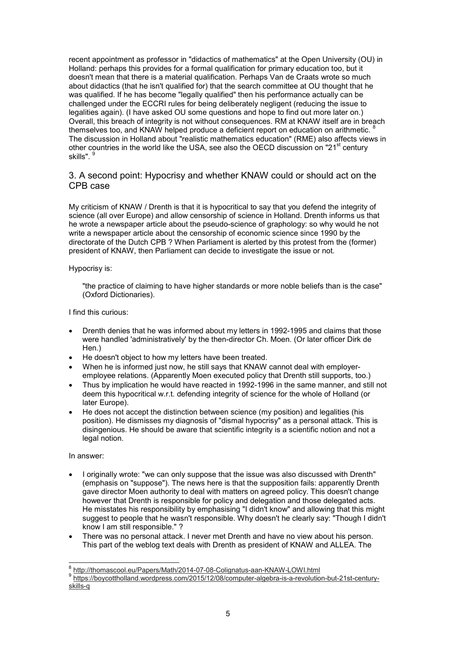recent appointment as professor in "didactics of mathematics" at the Open University (OU) in Holland: perhaps this provides for a formal qualification for primary education too, but it doesn't mean that there is a material qualification. Perhaps Van de Craats wrote so much about didactics (that he isn't qualified for) that the search committee at OU thought that he was qualified. If he has become "legally qualified" then his performance actually can be challenged under the ECCRI rules for being deliberately negligent (reducing the issue to legalities again). (I have asked OU some questions and hope to find out more later on.) Overall, this breach of integrity is not without consequences. RM at KNAW itself are in breach themselves too, and KNAW helped produce a deficient report on education on arithmetic. The discussion in Holland about "realistic mathematics education" (RME) also affects views in other countries in the world like the USA, see also the OECD discussion on "21<sup>st</sup> century skills".

# 3. A second point: Hypocrisy and whether KNAW could or should act on the CPB case

My criticism of KNAW / Drenth is that it is hypocritical to say that you defend the integrity of science (all over Europe) and allow censorship of science in Holland. Drenth informs us that he wrote a newspaper article about the pseudo-science of graphology: so why would he not write a newspaper article about the censorship of economic science since 1990 by the directorate of the Dutch CPB ? When Parliament is alerted by this protest from the (former) president of KNAW, then Parliament can decide to investigate the issue or not.

#### Hypocrisy is:

"the practice of claiming to have higher standards or more noble beliefs than is the case" (Oxford Dictionaries).

I find this curious:

- Drenth denies that he was informed about my letters in 1992-1995 and claims that those were handled 'administratively' by the then-director Ch. Moen. (Or later officer Dirk de Hen.)
- He doesn't object to how my letters have been treated.
- When he is informed just now, he still says that KNAW cannot deal with employeremployee relations. (Apparently Moen executed policy that Drenth still supports, too.)
- Thus by implication he would have reacted in 1992-1996 in the same manner, and still not deem this hypocritical w.r.t. defending integrity of science for the whole of Holland (or later Europe).
- He does not accept the distinction between science (my position) and legalities (his position). He dismisses my diagnosis of "dismal hypocrisy" as a personal attack. This is disingenious. He should be aware that scientific integrity is a scientific notion and not a legal notion.

#### In answer:

- I originally wrote: "we can only suppose that the issue was also discussed with Drenth" (emphasis on "suppose"). The news here is that the supposition fails: apparently Drenth gave director Moen authority to deal with matters on agreed policy. This doesn't change however that Drenth is responsible for policy and delegation and those delegated acts. He misstates his responsibility by emphasising "I didn't know" and allowing that this might suggest to people that he wasn't responsible. Why doesn't he clearly say: "Though I didn't know I am still responsible." ?
- There was no personal attack. I never met Drenth and have no view about his person. This part of the weblog text deals with Drenth as president of KNAW and ALLEA. The

 8 http://thomascool.eu/Papers/Math/2014-07-08-Colignatus-aan-KNAW-LOWI.html

<sup>9</sup> https://boycottholland.wordpress.com/2015/12/08/computer-algebra-is-a-revolution-but-21st-centuryskills-q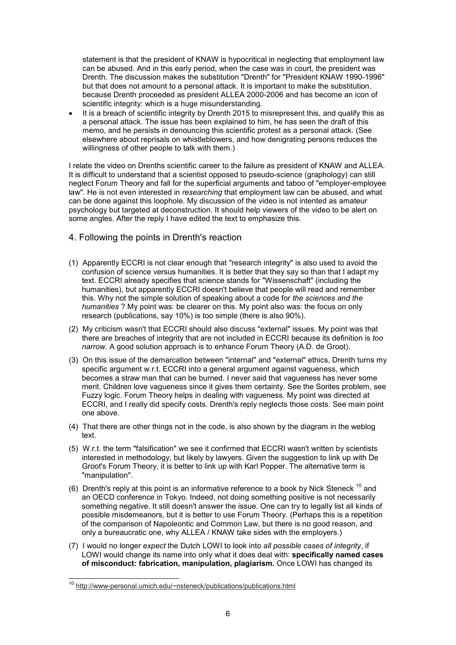statement is that the president of KNAW is hypocritical in neglecting that employment law can be abused. And in this early period, when the case was in court, the president was Drenth. The discussion makes the substitution "Drenth" for "President KNAW 1990-1996" but that does not amount to a personal attack. It is important to make the substitution, because Drenth proceeded as president ALLEA 2000-2006 and has become an icon of scientific integrity: which is a huge misunderstanding.

It is a breach of scientific integrity by Drenth 2015 to misrepresent this, and qualify this as a personal attack. The issue has been explained to him, he has seen the draft of this memo, and he persists in denouncing this scientific protest as a personal attack. (See elsewhere about reprisals on whistleblowers, and how denigrating persons reduces the willingness of other people to talk with them.)

I relate the video on Drenths scientific career to the failure as president of KNAW and ALLEA. It is difficult to understand that a scientist opposed to pseudo-science (graphology) can still neglect Forum Theory and fall for the superficial arguments and taboo of "employer-employee law". He is not even interested in *researching* that employment law can be abused, and what can be done against this loophole. My discussion of the video is not intented as amateur psychology but targeted at deconstruction. It should help viewers of the video to be alert on some angles. After the reply I have edited the text to emphasize this.

# 4. Following the points in Drenth's reaction

- (1) Apparently ECCRI is not clear enough that "research integrity" is also used to avoid the confusion of science versus humanities. It is better that they say so than that I adapt my text. ECCRI already specifies that science stands for "Wissenschaft" (including the humanities), but apparently ECCRI doesn't believe that people will read and remember this. Why not the simple solution of speaking about a code for *the sciences and the humanities* ? My point was: be clearer on this. My point also was: the focus on only research (publications, say 10%) is too simple (there is also 90%).
- (2) My criticism wasn't that ECCRI should also discuss "external" issues. My point was that there are breaches of integrity that are not included in ECCRI because its definition is *too narrow.* A good solution approach is to enhance Forum Theory (A.D. de Groot).
- (3) On this issue of the demarcation between "internal" and "external" ethics, Drenth turns my specific argument w.r.t. ECCRI into a general argument against vagueness, which becomes a straw man that can be burned. I never said that vagueness has never some merit. Children love vagueness since it gives them certainty. See the Sorites problem, see Fuzzy logic. Forum Theory helps in dealing with vagueness. My point was directed at ECCRI, and I really did specify costs. Drenth's reply neglects those costs. See main point one above.
- (4) That there are other things not in the code, is also shown by the diagram in the weblog text.
- (5) W.r.t. the term "falsification" we see it confirmed that ECCRI wasn't written by scientists interested in methodology, but likely by lawyers. Given the suggestion to link up with De Groot's Forum Theory, it is better to link up with Karl Popper. The alternative term is "manipulation".
- (6) Drenth's reply at this point is an informative reference to a book by Nick Steneck  $^{10}$  and an OECD conference in Tokyo. Indeed, not doing something positive is not necessarily something negative. It still doesn't answer the issue. One can try to legally list all kinds of possible misdemeanors, but it is better to use Forum Theory. (Perhaps this is a repetition of the comparison of Napoleontic and Common Law, but there is no good reason, and only a bureaucratic one, why ALLEA / KNAW take sides with the employers.)
- (7) I would no longer *expect* the Dutch LOWI to look into *all possible cases of integrity*, if LOWI would change its name into only what it does deal with: **specifically named cases of misconduct: fabrication, manipulation, plagiarism.** Once LOWI has changed its

 $\overline{\phantom{a}}$ 

<sup>&</sup>lt;sup>10</sup> http://www-personal.umich.edu/~nsteneck/publications/publications.html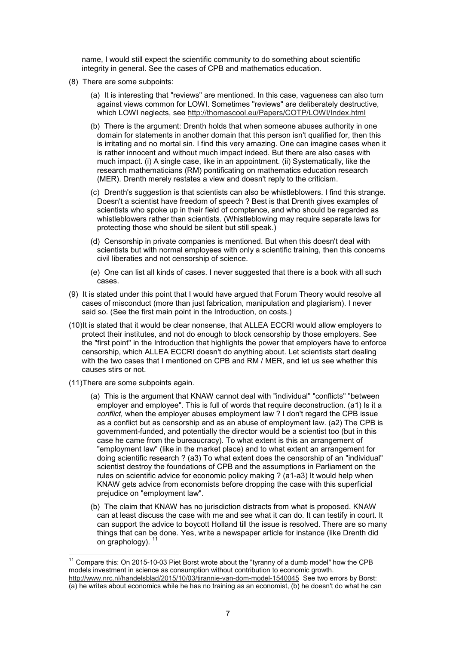name, I would still expect the scientific community to do something about scientific integrity in general. See the cases of CPB and mathematics education.

- (8) There are some subpoints:
	- (a) It is interesting that "reviews" are mentioned. In this case, vagueness can also turn against views common for LOWI. Sometimes "reviews" are deliberately destructive, which LOWI neglects, see http://thomascool.eu/Papers/COTP/LOWI/Index.html
	- (b) There is the argument: Drenth holds that when someone abuses authority in one domain for statements in another domain that this person isn't qualified for, then this is irritating and no mortal sin. I find this very amazing. One can imagine cases when it is rather innocent and without much impact indeed. But there are also cases with much impact. (i) A single case, like in an appointment. (ii) Systematically, like the research mathematicians (RM) pontificating on mathematics education research (MER). Drenth merely restates a view and doesn't reply to the criticism.
	- (c) Drenth's suggestion is that scientists can also be whistleblowers. I find this strange. Doesn't a scientist have freedom of speech ? Best is that Drenth gives examples of scientists who spoke up in their field of comptence, and who should be regarded as whistleblowers rather than scientists. (Whistleblowing may require separate laws for protecting those who should be silent but still speak.)
	- (d) Censorship in private companies is mentioned. But when this doesn't deal with scientists but with normal employees with only a scientific training, then this concerns civil liberaties and not censorship of science.
	- (e) One can list all kinds of cases. I never suggested that there is a book with all such cases.
- (9) It is stated under this point that I would have argued that Forum Theory would resolve all cases of misconduct (more than just fabrication, manipulation and plagiarism). I never said so. (See the first main point in the Introduction, on costs.)
- (10) It is stated that it would be clear nonsense, that ALLEA ECCRI would allow employers to protect their institutes, and not do enough to block censorship by those employers. See the "first point" in the Introduction that highlights the power that employers have to enforce censorship, which ALLEA ECCRI doesn't do anything about. Let scientists start dealing with the two cases that I mentioned on CPB and RM / MER, and let us see whether this causes stirs or not.
- (11) There are some subpoints again.

 $\overline{\phantom{a}}$ 

- (a) This is the argument that KNAW cannot deal with "individual" "conflicts" "between employer and employee". This is full of words that require deconstruction. (a1) Is it a *conflict,* when the employer abuses employment law ? I don't regard the CPB issue as a conflict but as censorship and as an abuse of employment law. (a2) The CPB is government-funded, and potentially the director would be a scientist too (but in this case he came from the bureaucracy). To what extent is this an arrangement of "employment law" (like in the market place) and to what extent an arrangement for doing scientific research ? (a3) To what extent does the censorship of an "individual" scientist destroy the foundations of CPB and the assumptions in Parliament on the rules on scientific advice for economic policy making ? (a1-a3) It would help when KNAW gets advice from economists before dropping the case with this superficial prejudice on "employment law".
- (b) The claim that KNAW has no jurisdiction distracts from what is proposed. KNAW can at least discuss the case with me and see what it can do. It can testify in court. It can support the advice to boycott Holland till the issue is resolved. There are so many things that can be done. Yes, write a newspaper article for instance (like Drenth did on graphology).

 $11$  Compare this: On 2015-10-03 Piet Borst wrote about the "tyranny of a dumb model" how the CPB models investment in science as consumption without contribution to economic growth. http://www.nrc.nl/handelsblad/2015/10/03/tirannie-van-dom-model-1540045 See two errors by Borst: (a) he writes about economics while he has no training as an economist, (b) he doesn't do what he can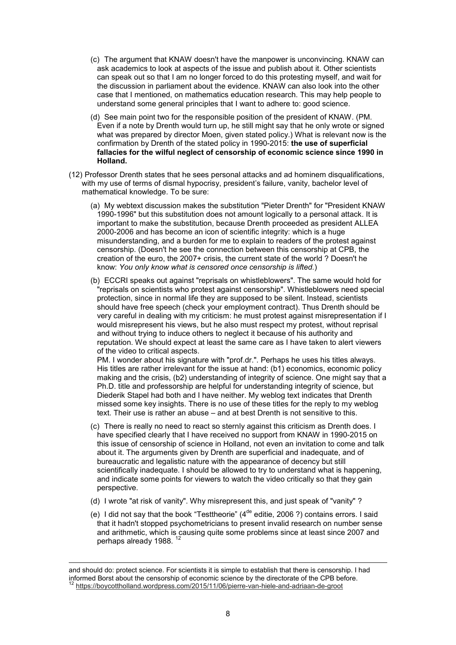- (c) The argument that KNAW doesn't have the manpower is unconvincing. KNAW can ask academics to look at aspects of the issue and publish about it. Other scientists can speak out so that I am no longer forced to do this protesting myself, and wait for the discussion in parliament about the evidence. KNAW can also look into the other case that I mentioned, on mathematics education research. This may help people to understand some general principles that I want to adhere to: good science.
- (d) See main point two for the responsible position of the president of KNAW. (PM. Even if a note by Drenth would turn up, he still might say that he only wrote or signed what was prepared by director Moen, given stated policy.) What is relevant now is the confirmation by Drenth of the stated policy in 1990-2015: **the use of superficial fallacies for the wilful neglect of censorship of economic science since 1990 in Holland.**
- (12) Professor Drenth states that he sees personal attacks and ad hominem disqualifications, with my use of terms of dismal hypocrisy, president's failure, vanity, bachelor level of mathematical knowledge. To be sure:
	- (a) My webtext discussion makes the substitution "Pieter Drenth" for "President KNAW 1990-1996" but this substitution does not amount logically to a personal attack. It is important to make the substitution, because Drenth proceeded as president ALLEA 2000-2006 and has become an icon of scientific integrity: which is a huge misunderstanding, and a burden for me to explain to readers of the protest against censorship. (Doesn't he see the connection between this censorship at CPB, the creation of the euro, the 2007+ crisis, the current state of the world ? Doesn't he know: *You only know what is censored once censorship is lifted.*)
	- (b) ECCRI speaks out against "reprisals on whistleblowers". The same would hold for "reprisals on scientists who protest against censorship". Whistleblowers need special protection, since in normal life they are supposed to be silent. Instead, scientists should have free speech (check your employment contract). Thus Drenth should be very careful in dealing with my criticism: he must protest against misrepresentation if I would misrepresent his views, but he also must respect my protest, without reprisal and without trying to induce others to neglect it because of his authority and reputation. We should expect at least the same care as I have taken to alert viewers of the video to critical aspects.

PM. I wonder about his signature with "prof.dr.". Perhaps he uses his titles always. His titles are rather irrelevant for the issue at hand: (b1) economics, economic policy making and the crisis, (b2) understanding of integrity of science. One might say that a Ph.D. title and professorship are helpful for understanding integrity of science, but Diederik Stapel had both and I have neither. My weblog text indicates that Drenth missed some key insights. There is no use of these titles for the reply to my weblog text. Their use is rather an abuse – and at best Drenth is not sensitive to this.

- (c) There is really no need to react so sternly against this criticism as Drenth does. I have specified clearly that I have received no support from KNAW in 1990-2015 on this issue of censorship of science in Holland, not even an invitation to come and talk about it. The arguments given by Drenth are superficial and inadequate, and of bureaucratic and legalistic nature with the appearance of decency but still scientifically inadequate. I should be allowed to try to understand what is happening, and indicate some points for viewers to watch the video critically so that they gain perspective.
- (d) I wrote "at risk of vanity". Why misrepresent this, and just speak of "vanity" ?
- (e) I did not say that the book "Testtheorie"  $(4^{de}$  editie, 2006 ?) contains errors. I said that it hadn't stopped psychometricians to present invalid research on number sense and arithmetic, which is causing quite some problems since at least since 2007 and perhaps already 1988.<sup>12</sup>

-

and should do: protect science. For scientists it is simple to establish that there is censorship. I had informed Borst about the censorship of economic science by the directorate of the CPB before. <sup>12</sup> https://boycottholland.wordpress.com/2015/11/06/pierre-van-hiele-and-adriaan-de-groot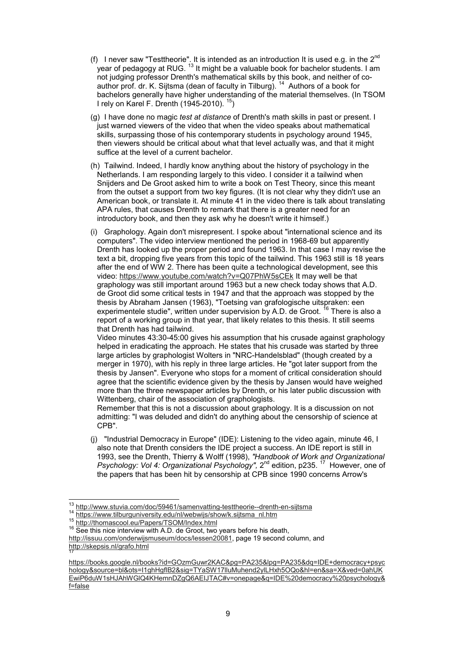- (f) I never saw "Testtheorie". It is intended as an introduction It is used e.g. in the 2<sup>nd</sup> year of pedagogy at RUG.  $^{\rm 13}$  It might be a valuable book for bachelor students. I am not judging professor Drenth's mathematical skills by this book, and neither of coauthor prof. dr. K. Sijtsma (dean of faculty in Tilburg).<sup>14</sup> Authors of a book for bachelors generally have higher understanding of the material themselves. (In TSOM I rely on Karel F. Drenth (1945-2010).  $15$ )
- (g) I have done no magic *test at distance* of Drenth's math skills in past or present. I just warned viewers of the video that when the video speaks about mathematical skills, surpassing those of his contemporary students in psychology around 1945, then viewers should be critical about what that level actually was, and that it might suffice at the level of a current bachelor.
- (h) Tailwind. Indeed, I hardly know anything about the history of psychology in the Netherlands. I am responding largely to this video. I consider it a tailwind when Snijders and De Groot asked him to write a book on Test Theory, since this meant from the outset a support from two key figures. (It is not clear why they didn't use an American book, or translate it. At minute 41 in the video there is talk about translating APA rules, that causes Drenth to remark that there is a greater need for an introductory book, and then they ask why he doesn't write it himself.)
- (i) Graphology. Again don't misrepresent. I spoke about "international science and its computers". The video interview mentioned the period in 1968-69 but apparently Drenth has looked up the proper period and found 1963. In that case I may revise the text a bit, dropping five years from this topic of the tailwind. This 1963 still is 18 years after the end of WW 2. There has been quite a technological development, see this video: https://www.youtube.com/watch?v=Q07PhW5sCEk It may well be that graphology was still important around 1963 but a new check today shows that A.D. de Groot did some critical tests in 1947 and that the approach was stopped by the thesis by Abraham Jansen (1963), "Toetsing van grafologische uitspraken: een experimentele studie", written under supervision by A.D. de Groot. <sup>16</sup> There is also a report of a working group in that year, that likely relates to this thesis. It still seems that Drenth has had tailwind.

Video minutes 43:30-45:00 gives his assumption that his crusade against graphology helped in eradicating the approach. He states that his crusade was started by three large articles by graphologist Wolters in "NRC-Handelsblad" (though created by a merger in 1970), with his reply in three large articles. He "got later support from the thesis by Jansen". Everyone who stops for a moment of critical consideration should agree that the scientific evidence given by the thesis by Jansen would have weighed more than the three newspaper articles by Drenth, or his later public discussion with Wittenberg, chair of the association of graphologists.

Remember that this is not a discussion about graphology. It is a discussion on not admitting: "I was deluded and didn't do anything about the censorship of science at CPB".

(j) "Industrial Democracy in Europe" (IDE): Listening to the video again, minute 46, I also note that Drenth considers the IDE project a success. An IDE report is still in 1993, see the Drenth, Thierry & Wolff (1998), *"Handbook of Work and Organizational Psychology: Vol 4: Organizational Psychology",* 2<sup>nd</sup> edition, p235.<sup>17</sup> However, one of the papers that has been hit by censorship at CPB since 1990 concerns Arrow's

14 https://www.stavia.som/sex.com/sex.com/nl/webwijs/show/k.sijtsma\_nl.htm

 $13$ http://www.stuvia.com/doc/59461/samenvatting-testtheorie--drenth-en-sijtsma

<sup>15</sup> http://thomascool.eu/Papers/TSOM/Index.html

<sup>&</sup>lt;sup>16</sup> See this nice interview with A.D. de Groot, two years before his death,

http://issuu.com/onderwijsmuseum/docs/lessen20081, page 19 second column, and http://skepsis.nl/grafo.html 17

https://books.google.nl/books?id=GOzmGuwr2KAC&pg=PA235&lpg=PA235&dq=IDE+democracy+psyc hology&source=bl&ots=I1ghHgflB2&sig=TYaSW17lluMuhend2ylLHxh5OQo&hl=en&sa=X&ved=0ahUK EwiP6duW1sHJAhWGlQ4KHemnDZgQ6AEIJTAC#v=onepage&q=IDE%20democracy%20psychology& f=false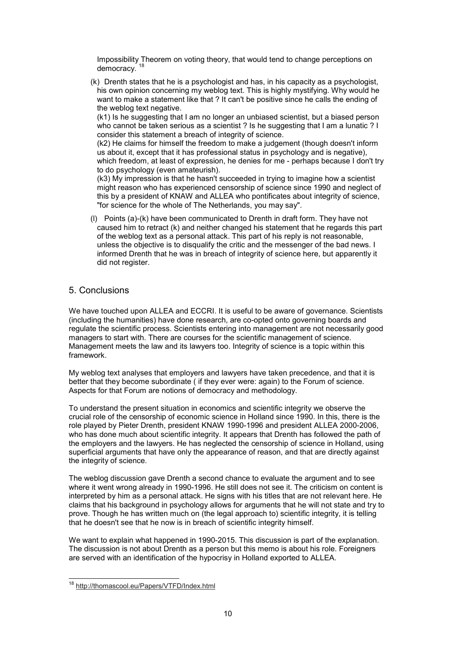Impossibility Theorem on voting theory, that would tend to change perceptions on democracy.

(k) Drenth states that he is a psychologist and has, in his capacity as a psychologist, his own opinion concerning my weblog text. This is highly mystifying. Why would he want to make a statement like that ? It can't be positive since he calls the ending of the weblog text negative.

(k1) Is he suggesting that I am no longer an unbiased scientist, but a biased person who cannot be taken serious as a scientist ? Is he suggesting that I am a lunatic ? I consider this statement a breach of integrity of science.

(k2) He claims for himself the freedom to make a judgement (though doesn't inform us about it, except that it has professional status in psychology and is negative), which freedom, at least of expression, he denies for me - perhaps because I don't try to do psychology (even amateurish).

(k3) My impression is that he hasn't succeeded in trying to imagine how a scientist might reason who has experienced censorship of science since 1990 and neglect of this by a president of KNAW and ALLEA who pontificates about integrity of science, "for science for the whole of The Netherlands, you may say".

(l) Points (a)-(k) have been communicated to Drenth in draft form. They have not caused him to retract (k) and neither changed his statement that he regards this part of the weblog text as a personal attack. This part of his reply is not reasonable, unless the objective is to disqualify the critic and the messenger of the bad news. I informed Drenth that he was in breach of integrity of science here, but apparently it did not register.

# 5. Conclusions

We have touched upon ALLEA and ECCRI. It is useful to be aware of governance. Scientists (including the humanities) have done research, are co-opted onto governing boards and regulate the scientific process. Scientists entering into management are not necessarily good managers to start with. There are courses for the scientific management of science. Management meets the law and its lawyers too. Integrity of science is a topic within this framework.

My weblog text analyses that employers and lawyers have taken precedence, and that it is better that they become subordinate ( if they ever were: again) to the Forum of science. Aspects for that Forum are notions of democracy and methodology.

To understand the present situation in economics and scientific integrity we observe the crucial role of the censorship of economic science in Holland since 1990. In this, there is the role played by Pieter Drenth, president KNAW 1990-1996 and president ALLEA 2000-2006, who has done much about scientific integrity. It appears that Drenth has followed the path of the employers and the lawyers. He has neglected the censorship of science in Holland, using superficial arguments that have only the appearance of reason, and that are directly against the integrity of science.

The weblog discussion gave Drenth a second chance to evaluate the argument and to see where it went wrong already in 1990-1996. He still does not see it. The criticism on content is interpreted by him as a personal attack. He signs with his titles that are not relevant here. He claims that his background in psychology allows for arguments that he will not state and try to prove. Though he has written much on (the legal approach to) scientific integrity, it is telling that he doesn't see that he now is in breach of scientific integrity himself.

We want to explain what happened in 1990-2015. This discussion is part of the explanation. The discussion is not about Drenth as a person but this memo is about his role. Foreigners are served with an identification of the hypocrisy in Holland exported to ALLEA.

 $\overline{\phantom{a}}$ 

<sup>&</sup>lt;sup>18</sup> http://thomascool.eu/Papers/VTFD/Index.html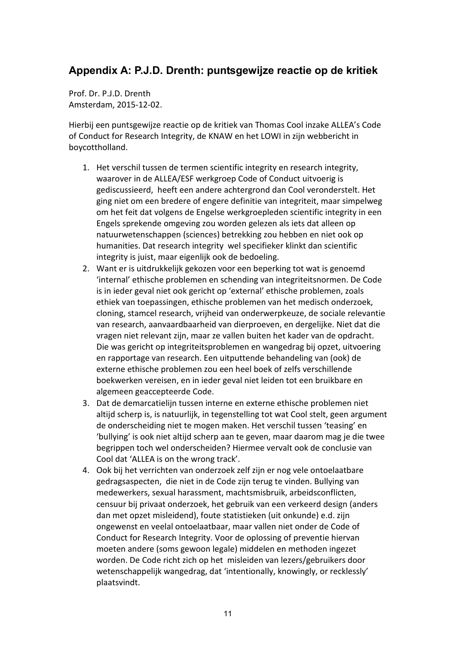# **Appendix A: P.J.D. Drenth: puntsgewijze reactie op de kritiek**

Prof. Dr. P.J.D. Drenth Amsterdam, 2015-12-02.

Hierbij een puntsgewijze reactie op de kritiek van Thomas Cool inzake ALLEA's Code of Conduct for Research Integrity, de KNAW en het LOWI in zijn webbericht in boycottholland.

- 1. Het verschil tussen de termen scientific integrity en research integrity, waarover in de ALLEA/ESF werkgroep Code of Conduct uitvoerig is gediscussieerd, heeft een andere achtergrond dan Cool veronderstelt. Het ging niet om een bredere of engere definitie van integriteit, maar simpelweg om het feit dat volgens de Engelse werkgroepleden scientific integrity in een Engels sprekende omgeving zou worden gelezen als iets dat alleen op natuurwetenschappen (sciences) betrekking zou hebben en niet ook op humanities. Dat research integrity wel specifieker klinkt dan scientific integrity is juist, maar eigenlijk ook de bedoeling.
- 2. Want er is uitdrukkelijk gekozen voor een beperking tot wat is genoemd 'internal' ethische problemen en schending van integriteitsnormen. De Code is in ieder geval niet ook gericht op 'external' ethische problemen, zoals ethiek van toepassingen, ethische problemen van het medisch onderzoek, cloning, stamcel research, vrijheid van onderwerpkeuze, de sociale relevantie van research, aanvaardbaarheid van dierproeven, en dergelijke. Niet dat die vragen niet relevant zijn, maar ze vallen buiten het kader van de opdracht. Die was gericht op integriteitsproblemen en wangedrag bij opzet, uitvoering en rapportage van research. Een uitputtende behandeling van (ook) de externe ethische problemen zou een heel boek of zelfs verschillende boekwerken vereisen, en in ieder geval niet leiden tot een bruikbare en algemeen geaccepteerde Code.
- 3. Dat de demarcatielijn tussen interne en externe ethische problemen niet altijd scherp is, is natuurlijk, in tegenstelling tot wat Cool stelt, geen argument de onderscheiding niet te mogen maken. Het verschil tussen 'teasing' en 'bullying' is ook niet altijd scherp aan te geven, maar daarom mag je die twee begrippen toch wel onderscheiden? Hiermee vervalt ook de conclusie van Cool dat 'ALLEA is on the wrong track'.
- 4. Ook bij het verrichten van onderzoek zelf zijn er nog vele ontoelaatbare gedragsaspecten, die niet in de Code zijn terug te vinden. Bullying van medewerkers, sexual harassment, machtsmisbruik, arbeidsconflicten, censuur bij privaat onderzoek, het gebruik van een verkeerd design (anders dan met opzet misleidend), foute statistieken (uit onkunde) e.d. zijn ongewenst en veelal ontoelaatbaar, maar vallen niet onder de Code of Conduct for Research Integrity. Voor de oplossing of preventie hiervan moeten andere (soms gewoon legale) middelen en methoden ingezet worden. De Code richt zich op het misleiden van lezers/gebruikers door wetenschappelijk wangedrag, dat 'intentionally, knowingly, or recklessly' plaatsvindt.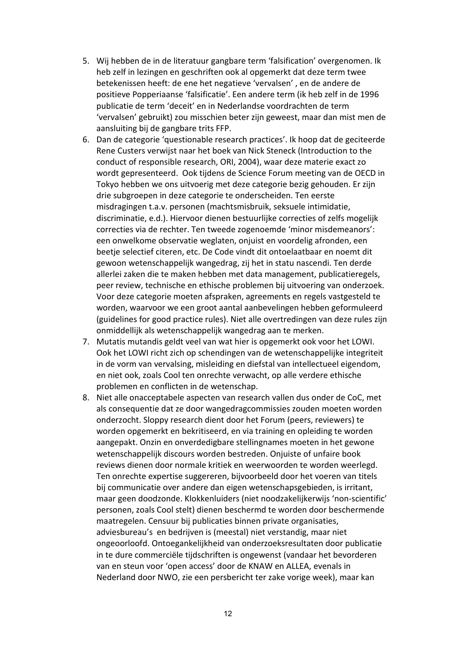- 5. Wij hebben de in de literatuur gangbare term 'falsification' overgenomen. Ik heb zelf in lezingen en geschriften ook al opgemerkt dat deze term twee betekenissen heeft: de ene het negatieve 'vervalsen' , en de andere de positieve Popperiaanse 'falsificatie'. Een andere term (ik heb zelf in de 1996 publicatie de term 'deceit' en in Nederlandse voordrachten de term 'vervalsen' gebruikt) zou misschien beter zijn geweest, maar dan mist men de aansluiting bij de gangbare trits FFP.
- 6. Dan de categorie 'questionable research practices'. Ik hoop dat de geciteerde Rene Custers verwijst naar het boek van Nick Steneck (Introduction to the conduct of responsible research, ORI, 2004), waar deze materie exact zo wordt gepresenteerd. Ook tijdens de Science Forum meeting van de OECD in Tokyo hebben we ons uitvoerig met deze categorie bezig gehouden. Er zijn drie subgroepen in deze categorie te onderscheiden. Ten eerste misdragingen t.a.v. personen (machtsmisbruik, seksuele intimidatie, discriminatie, e.d.). Hiervoor dienen bestuurlijke correcties of zelfs mogelijk correcties via de rechter. Ten tweede zogenoemde 'minor misdemeanors': een onwelkome observatie weglaten, onjuist en voordelig afronden, een beetje selectief citeren, etc. De Code vindt dit ontoelaatbaar en noemt dit gewoon wetenschappelijk wangedrag, zij het in statu nascendi. Ten derde allerlei zaken die te maken hebben met data management, publicatieregels, peer review, technische en ethische problemen bij uitvoering van onderzoek. Voor deze categorie moeten afspraken, agreements en regels vastgesteld te worden, waarvoor we een groot aantal aanbevelingen hebben geformuleerd (guidelines for good practice rules). Niet alle overtredingen van deze rules zijn onmiddellijk als wetenschappelijk wangedrag aan te merken.
- 7. Mutatis mutandis geldt veel van wat hier is opgemerkt ook voor het LOWI. Ook het LOWI richt zich op schendingen van de wetenschappelijke integriteit in de vorm van vervalsing, misleiding en diefstal van intellectueel eigendom, en niet ook, zoals Cool ten onrechte verwacht, op alle verdere ethische problemen en conflicten in de wetenschap.
- 8. Niet alle onacceptabele aspecten van research vallen dus onder de CoC, met als consequentie dat ze door wangedragcommissies zouden moeten worden onderzocht. Sloppy research dient door het Forum (peers, reviewers) te worden opgemerkt en bekritiseerd, en via training en opleiding te worden aangepakt. Onzin en onverdedigbare stellingnames moeten in het gewone wetenschappelijk discours worden bestreden. Onjuiste of unfaire book reviews dienen door normale kritiek en weerwoorden te worden weerlegd. Ten onrechte expertise suggereren, bijvoorbeeld door het voeren van titels bij communicatie over andere dan eigen wetenschapsgebieden, is irritant, maar geen doodzonde. Klokkenluiders (niet noodzakelijkerwijs 'non-scientific' personen, zoals Cool stelt) dienen beschermd te worden door beschermende maatregelen. Censuur bij publicaties binnen private organisaties, adviesbureau's en bedrijven is (meestal) niet verstandig, maar niet ongeoorloofd. Ontoegankelijkheid van onderzoeksresultaten door publicatie in te dure commerciële tijdschriften is ongewenst (vandaar het bevorderen van en steun voor 'open access' door de KNAW en ALLEA, evenals in Nederland door NWO, zie een persbericht ter zake vorige week), maar kan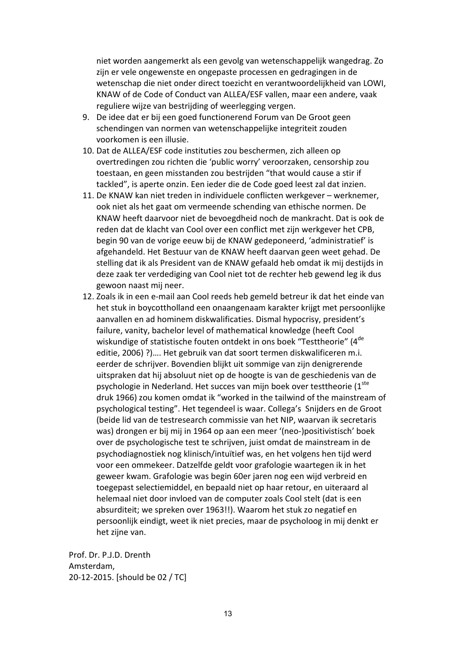niet worden aangemerkt als een gevolg van wetenschappelijk wangedrag. Zo zijn er vele ongewenste en ongepaste processen en gedragingen in de wetenschap die niet onder direct toezicht en verantwoordelijkheid van LOWI, KNAW of de Code of Conduct van ALLEA/ESF vallen, maar een andere, vaak reguliere wijze van bestrijding of weerlegging vergen.

- 9. De idee dat er bij een goed functionerend Forum van De Groot geen schendingen van normen van wetenschappelijke integriteit zouden voorkomen is een illusie.
- 10. Dat de ALLEA/ESF code instituties zou beschermen, zich alleen op overtredingen zou richten die 'public worry' veroorzaken, censorship zou toestaan, en geen misstanden zou bestrijden "that would cause a stir if tackled", is aperte onzin. Een ieder die de Code goed leest zal dat inzien.
- 11. De KNAW kan niet treden in individuele conflicten werkgever werknemer, ook niet als het gaat om vermeende schending van ethische normen. De KNAW heeft daarvoor niet de bevoegdheid noch de mankracht. Dat is ook de reden dat de klacht van Cool over een conflict met zijn werkgever het CPB, begin 90 van de vorige eeuw bij de KNAW gedeponeerd, 'administratief' is afgehandeld. Het Bestuur van de KNAW heeft daarvan geen weet gehad. De stelling dat ik als President van de KNAW gefaald heb omdat ik mij destijds in deze zaak ter verdediging van Cool niet tot de rechter heb gewend leg ik dus gewoon naast mij neer.
- 12. Zoals ik in een e-mail aan Cool reeds heb gemeld betreur ik dat het einde van het stuk in boycottholland een onaangenaam karakter krijgt met persoonlijke aanvallen en ad hominem diskwalificaties. Dismal hypocrisy, president's failure, vanity, bachelor level of mathematical knowledge (heeft Cool wiskundige of statistische fouten ontdekt in ons boek "Testtheorie" (4<sup>de</sup> editie, 2006) ?)…. Het gebruik van dat soort termen diskwalificeren m.i. eerder de schrijver. Bovendien blijkt uit sommige van zijn denigrerende uitspraken dat hij absoluut niet op de hoogte is van de geschiedenis van de psychologie in Nederland. Het succes van mijn boek over testtheorie (1<sup>ste</sup> druk 1966) zou komen omdat ik "worked in the tailwind of the mainstream of psychological testing". Het tegendeel is waar. Collega's Snijders en de Groot (beide lid van de testresearch commissie van het NIP, waarvan ik secretaris was) drongen er bij mij in 1964 op aan een meer '(neo-)positivistisch' boek over de psychologische test te schrijven, juist omdat de mainstream in de psychodiagnostiek nog klinisch/intuïtief was, en het volgens hen tijd werd voor een ommekeer. Datzelfde geldt voor grafologie waartegen ik in het geweer kwam. Grafologie was begin 60er jaren nog een wijd verbreid en toegepast selectiemiddel, en bepaald niet op haar retour, en uiteraard al helemaal niet door invloed van de computer zoals Cool stelt (dat is een absurditeit; we spreken over 1963!!). Waarom het stuk zo negatief en persoonlijk eindigt, weet ik niet precies, maar de psycholoog in mij denkt er het zijne van.

Prof. Dr. P.J.D. Drenth Amsterdam, 20-12-2015. [should be 02 / TC]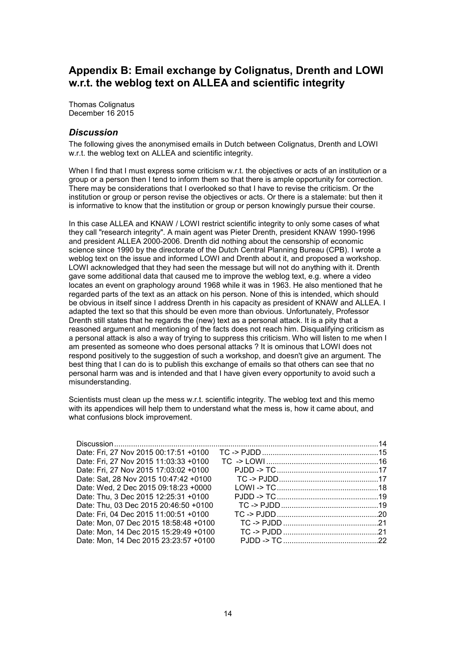# **Appendix B: Email exchange by Colignatus, Drenth and LOWI w.r.t. the weblog text on ALLEA and scientific integrity**

Thomas Colignatus December 16 2015

# *Discussion*

The following gives the anonymised emails in Dutch between Colignatus, Drenth and LOWI w.r.t. the weblog text on ALLEA and scientific integrity.

When I find that I must express some criticism w.r.t. the objectives or acts of an institution or a group or a person then I tend to inform them so that there is ample opportunity for correction. There may be considerations that I overlooked so that I have to revise the criticism. Or the institution or group or person revise the objectives or acts. Or there is a stalemate: but then it is informative to know that the institution or group or person knowingly pursue their course.

In this case ALLEA and KNAW / LOWI restrict scientific integrity to only some cases of what they call "research integrity". A main agent was Pieter Drenth, president KNAW 1990-1996 and president ALLEA 2000-2006. Drenth did nothing about the censorship of economic science since 1990 by the directorate of the Dutch Central Planning Bureau (CPB). I wrote a weblog text on the issue and informed LOWI and Drenth about it, and proposed a workshop. LOWI acknowledged that they had seen the message but will not do anything with it. Drenth gave some additional data that caused me to improve the weblog text, e.g. where a video locates an event on graphology around 1968 while it was in 1963. He also mentioned that he regarded parts of the text as an attack on his person. None of this is intended, which should be obvious in itself since I address Drenth in his capacity as president of KNAW and ALLEA. I adapted the text so that this should be even more than obvious. Unfortunately, Professor Drenth still states that he regards the (new) text as a personal attack. It is a pity that a reasoned argument and mentioning of the facts does not reach him. Disqualifying criticism as a personal attack is also a way of trying to suppress this criticism. Who will listen to me when I am presented as someone who does personal attacks ? It is ominous that LOWI does not respond positively to the suggestion of such a workshop, and doesn't give an argument. The best thing that I can do is to publish this exchange of emails so that others can see that no personal harm was and is intended and that I have given every opportunity to avoid such a misunderstanding.

Scientists must clean up the mess w.r.t. scientific integrity. The weblog text and this memo with its appendices will help them to understand what the mess is, how it came about, and what confusions block improvement.

| Date: Fri, 27 Nov 2015 00:17:51 +0100 |  |
|---------------------------------------|--|
| Date: Fri, 27 Nov 2015 11:03:33 +0100 |  |
| Date: Fri, 27 Nov 2015 17:03:02 +0100 |  |
| Date: Sat, 28 Nov 2015 10:47:42 +0100 |  |
| Date: Wed, 2 Dec 2015 09:18:23 +0000  |  |
| Date: Thu, 3 Dec 2015 12:25:31 +0100  |  |
| Date: Thu, 03 Dec 2015 20:46:50 +0100 |  |
| Date: Fri, 04 Dec 2015 11:00:51 +0100 |  |
| Date: Mon, 07 Dec 2015 18:58:48 +0100 |  |
| Date: Mon, 14 Dec 2015 15:29:49 +0100 |  |
| Date: Mon, 14 Dec 2015 23:23:57 +0100 |  |
|                                       |  |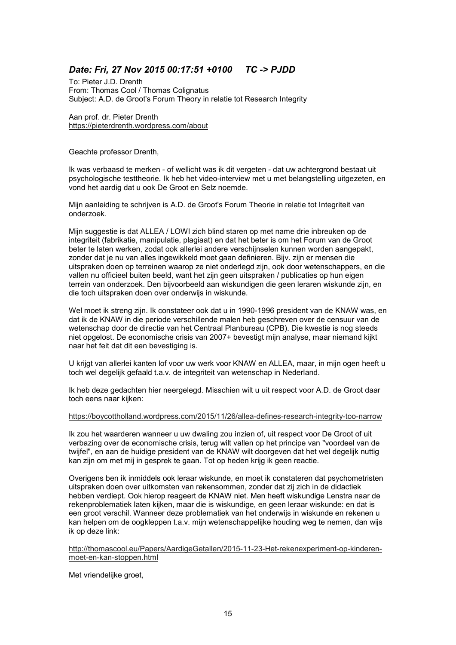# *Date: Fri, 27 Nov 2015 00:17:51 +0100 TC -> PJDD*

To: Pieter J.D. Drenth From: Thomas Cool / Thomas Colignatus Subject: A.D. de Groot's Forum Theory in relatie tot Research Integrity

Aan prof. dr. Pieter Drenth https://pieterdrenth.wordpress.com/about

Geachte professor Drenth,

Ik was verbaasd te merken - of wellicht was ik dit vergeten - dat uw achtergrond bestaat uit psychologische testtheorie. Ik heb het video-interview met u met belangstelling uitgezeten, en vond het aardig dat u ook De Groot en Selz noemde.

Mijn aanleiding te schrijven is A.D. de Groot's Forum Theorie in relatie tot Integriteit van onderzoek.

Mijn suggestie is dat ALLEA / LOWI zich blind staren op met name drie inbreuken op de integriteit (fabrikatie, manipulatie, plagiaat) en dat het beter is om het Forum van de Groot beter te laten werken, zodat ook allerlei andere verschijnselen kunnen worden aangepakt, zonder dat je nu van alles ingewikkeld moet gaan definieren. Bijv. zijn er mensen die uitspraken doen op terreinen waarop ze niet onderlegd zijn, ook door wetenschappers, en die vallen nu officieel buiten beeld, want het zijn geen uitspraken / publicaties op hun eigen terrein van onderzoek. Den bijvoorbeeld aan wiskundigen die geen leraren wiskunde zijn, en die toch uitspraken doen over onderwijs in wiskunde.

Wel moet ik streng zijn. Ik constateer ook dat u in 1990-1996 president van de KNAW was, en dat ik de KNAW in die periode verschillende malen heb geschreven over de censuur van de wetenschap door de directie van het Centraal Planbureau (CPB). Die kwestie is nog steeds niet opgelost. De economische crisis van 2007+ bevestigt mijn analyse, maar niemand kijkt naar het feit dat dit een bevestiging is.

U krijgt van allerlei kanten lof voor uw werk voor KNAW en ALLEA, maar, in mijn ogen heeft u toch wel degelijk gefaald t.a.v. de integriteit van wetenschap in Nederland.

Ik heb deze gedachten hier neergelegd. Misschien wilt u uit respect voor A.D. de Groot daar toch eens naar kijken:

#### https://boycottholland.wordpress.com/2015/11/26/allea-defines-research-integrity-too-narrow

Ik zou het waarderen wanneer u uw dwaling zou inzien of, uit respect voor De Groot of uit verbazing over de economische crisis, terug wilt vallen op het principe van "voordeel van de twijfel", en aan de huidige president van de KNAW wilt doorgeven dat het wel degelijk nuttig kan zijn om met mij in gesprek te gaan. Tot op heden krijg ik geen reactie.

Overigens ben ik inmiddels ook leraar wiskunde, en moet ik constateren dat psychometristen uitspraken doen over uitkomsten van rekensommen, zonder dat zij zich in de didactiek hebben verdiept. Ook hierop reageert de KNAW niet. Men heeft wiskundige Lenstra naar de rekenproblematiek laten kijken, maar die is wiskundige, en geen leraar wiskunde: en dat is een groot verschil. Wanneer deze problematiek van het onderwijs in wiskunde en rekenen u kan helpen om de oogkleppen t.a.v. mijn wetenschappelijke houding weg te nemen, dan wijs ik op deze link:

http://thomascool.eu/Papers/AardigeGetallen/2015-11-23-Het-rekenexperiment-op-kinderenmoet-en-kan-stoppen.html

Met vriendelijke groet,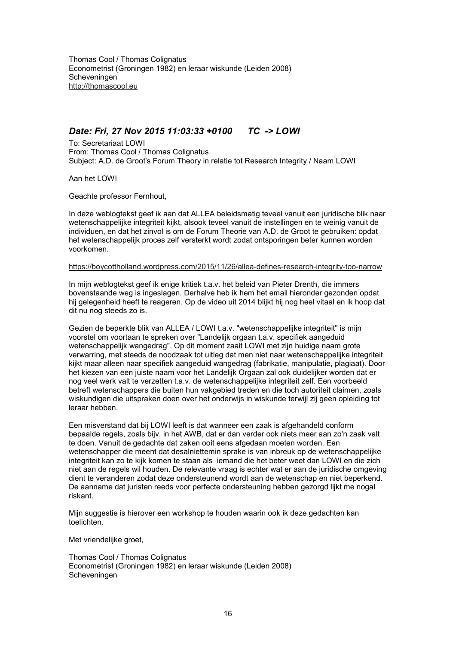# *Date: Fri, 27 Nov 2015 11:03:33 +0100 TC -> LOWI*

To: Secretariaat LOWI From: Thomas Cool / Thomas Colignatus Subject: A.D. de Groot's Forum Theory in relatie tot Research Integrity / Naam LOWI

Aan het LOWI

Geachte professor Fernhout,

In deze weblogtekst geef ik aan dat ALLEA beleidsmatig teveel vanuit een juridische blik naar wetenschappelijke integriteit kijkt, alsook teveel vanuit de instellingen en te weinig vanuit de individuen, en dat het zinvol is om de Forum Theorie van A.D. de Groot te gebruiken: opdat het wetenschappelijk proces zelf versterkt wordt zodat ontsporingen beter kunnen worden voorkomen.

#### https://boycottholland.wordpress.com/2015/11/26/allea-defines-research-integrity-too-narrow

In mijn weblogtekst geef ik enige kritiek t.a.v. het beleid van Pieter Drenth, die immers bovenstaande weg is ingeslagen. Derhalve heb ik hem het email hieronder gezonden opdat hij gelegenheid heeft te reageren. Op de video uit 2014 blijkt hij nog heel vitaal en ik hoop dat dit nu nog steeds zo is.

Gezien de beperkte blik van ALLEA / LOWI t.a.v. "wetenschappelijke integriteit" is mijn voorstel om voortaan te spreken over "Landelijk orgaan t.a.v. specifiek aangeduid wetenschappelijk wangedrag". Op dit moment zaait LOWI met zijn huidige naam grote verwarring, met steeds de noodzaak tot uitleg dat men niet naar wetenschappelijke integriteit kijkt maar alleen naar specifiek aangeduid wangedrag (fabrikatie, manipulatie, plagiaat). Door het kiezen van een juiste naam voor het Landelijk Orgaan zal ook duidelijker worden dat er nog veel werk valt te verzetten t.a.v. de wetenschappelijke integriteit zelf. Een voorbeeld betreft wetenschappers die buiten hun vakgebied treden en die toch autoriteit claimen, zoals wiskundigen die uitspraken doen over het onderwijs in wiskunde terwijl zij geen opleiding tot leraar hebben.

Een misverstand dat bij LOWI leeft is dat wanneer een zaak is afgehandeld conform bepaalde regels, zoals bijv. in het AWB, dat er dan verder ook niets meer aan zo'n zaak valt te doen. Vanuit de gedachte dat zaken ooit eens afgedaan moeten worden. Een wetenschapper die meent dat desalniettemin sprake is van inbreuk op de wetenschappelijke integriteit kan zo te kijk komen te staan als iemand die het beter weet dan LOWI en die zich niet aan de regels wil houden. De relevante vraag is echter wat er aan de juridische omgeving dient te veranderen zodat deze ondersteunend wordt aan de wetenschap en niet beperkend. De aanname dat juristen reeds voor perfecte ondersteuning hebben gezorgd lijkt me nogal riskant.

Mijn suggestie is hierover een workshop te houden waarin ook ik deze gedachten kan toelichten.

Met vriendelijke groet,

Thomas Cool / Thomas Colignatus Econometrist (Groningen 1982) en leraar wiskunde (Leiden 2008) Scheveningen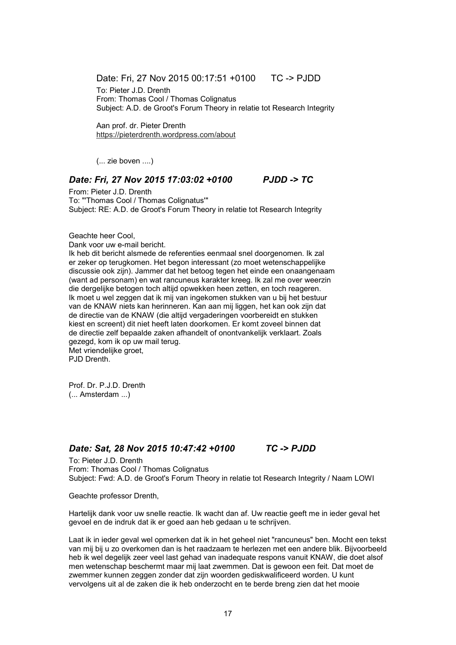Date: Fri, 27 Nov 2015 00:17:51 +0100 TC -> PJDD

To: Pieter J.D. Drenth From: Thomas Cool / Thomas Colignatus Subject: A.D. de Groot's Forum Theory in relatie tot Research Integrity

Aan prof. dr. Pieter Drenth https://pieterdrenth.wordpress.com/about

(... zie boven ....)

#### *Date: Fri, 27 Nov 2015 17:03:02 +0100 PJDD -> TC*

From: Pieter J.D. Drenth To: "'Thomas Cool / Thomas Colignatus'" Subject: RE: A.D. de Groot's Forum Theory in relatie tot Research Integrity

Geachte heer Cool,

Dank voor uw e-mail bericht.

Ik heb dit bericht alsmede de referenties eenmaal snel doorgenomen. Ik zal er zeker op terugkomen. Het begon interessant (zo moet wetenschappelijke discussie ook zijn). Jammer dat het betoog tegen het einde een onaangenaam (want ad personam) en wat rancuneus karakter kreeg. Ik zal me over weerzin die dergelijke betogen toch altijd opwekken heen zetten, en toch reageren. Ik moet u wel zeggen dat ik mij van ingekomen stukken van u bij het bestuur van de KNAW niets kan herinneren. Kan aan mij liggen, het kan ook zijn dat de directie van de KNAW (die altijd vergaderingen voorbereidt en stukken kiest en screent) dit niet heeft laten doorkomen. Er komt zoveel binnen dat de directie zelf bepaalde zaken afhandelt of onontvankelijk verklaart. Zoals gezegd, kom ik op uw mail terug. Met vriendelijke groet,

P.ID Drenth

Prof. Dr. P.J.D. Drenth (... Amsterdam ...)

# *Date: Sat, 28 Nov 2015 10:47:42 +0100 TC -> PJDD*

To: Pieter J.D. Drenth From: Thomas Cool / Thomas Colignatus Subject: Fwd: A.D. de Groot's Forum Theory in relatie tot Research Integrity / Naam LOWI

Geachte professor Drenth,

Hartelijk dank voor uw snelle reactie. Ik wacht dan af. Uw reactie geeft me in ieder geval het gevoel en de indruk dat ik er goed aan heb gedaan u te schrijven.

Laat ik in ieder geval wel opmerken dat ik in het geheel niet "rancuneus" ben. Mocht een tekst van mij bij u zo overkomen dan is het raadzaam te herlezen met een andere blik. Bijvoorbeeld heb ik wel degelijk zeer veel last gehad van inadequate respons vanuit KNAW, die doet alsof men wetenschap beschermt maar mij laat zwemmen. Dat is gewoon een feit. Dat moet de zwemmer kunnen zeggen zonder dat zijn woorden gediskwalificeerd worden. U kunt vervolgens uit al de zaken die ik heb onderzocht en te berde breng zien dat het mooie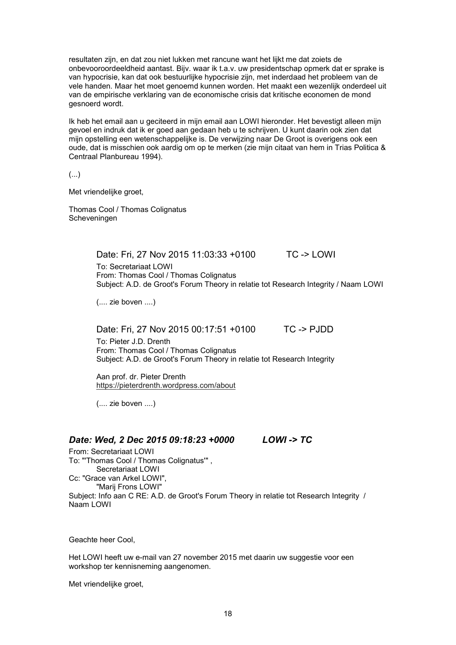resultaten zijn, en dat zou niet lukken met rancune want het lijkt me dat zoiets de onbevooroordeeldheid aantast. Bijv. waar ik t.a.v. uw presidentschap opmerk dat er sprake is van hypocrisie, kan dat ook bestuurlijke hypocrisie zijn, met inderdaad het probleem van de vele handen. Maar het moet genoemd kunnen worden. Het maakt een wezenlijk onderdeel uit van de empirische verklaring van de economische crisis dat kritische economen de mond gesnoerd wordt.

Ik heb het email aan u geciteerd in mijn email aan LOWI hieronder. Het bevestigt alleen mijn gevoel en indruk dat ik er goed aan gedaan heb u te schrijven. U kunt daarin ook zien dat mijn opstelling een wetenschappelijke is. De verwijzing naar De Groot is overigens ook een oude, dat is misschien ook aardig om op te merken (zie mijn citaat van hem in Trias Politica & Centraal Planbureau 1994).

(...)

Met vriendelijke groet,

Thomas Cool / Thomas Colignatus Scheveningen

Date: Fri, 27 Nov 2015 11:03:33 +0100 TC -> LOWI

To: Secretariaat LOWI From: Thomas Cool / Thomas Colignatus Subject: A.D. de Groot's Forum Theory in relatie tot Research Integrity / Naam LOWI

(.... zie boven ....)

Date: Fri, 27 Nov 2015 00:17:51 +0100 TC -> PJDD

To: Pieter J.D. Drenth From: Thomas Cool / Thomas Colignatus Subject: A.D. de Groot's Forum Theory in relatie tot Research Integrity

Aan prof. dr. Pieter Drenth https://pieterdrenth.wordpress.com/about

(.... zie boven ....)

# *Date: Wed, 2 Dec 2015 09:18:23 +0000 LOWI -> TC*

From: Secretariaat LOWI To: "'Thomas Cool / Thomas Colignatus'" , Secretariaat LOWI Cc: "Grace van Arkel LOWI", "Marij Frons LOWI" Subject: Info aan C RE: A.D. de Groot's Forum Theory in relatie tot Research Integrity / Naam LOWI

Geachte heer Cool,

Het LOWI heeft uw e-mail van 27 november 2015 met daarin uw suggestie voor een workshop ter kennisneming aangenomen.

Met vriendelijke groet,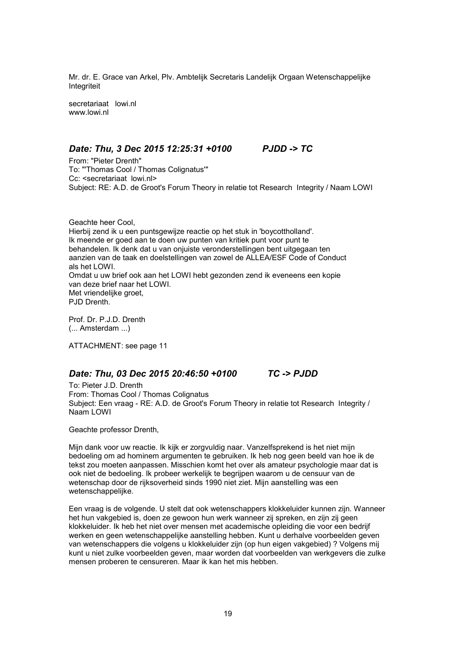Mr. dr. E. Grace van Arkel, Plv. Ambtelijk Secretaris Landelijk Orgaan Wetenschappelijke Integriteit

secretariaat lowi.nl www.lowi.nl

#### *Date: Thu, 3 Dec 2015 12:25:31 +0100 PJDD -> TC*

From: "Pieter Drenth" To: "'Thomas Cool / Thomas Colignatus'" Cc: <secretariaat lowi.nl> Subject: RE: A.D. de Groot's Forum Theory in relatie tot Research Integrity / Naam LOWI

Geachte heer Cool, Hierbij zend ik u een puntsgewijze reactie op het stuk in 'boycottholland'. Ik meende er goed aan te doen uw punten van kritiek punt voor punt te behandelen. Ik denk dat u van onjuiste veronderstellingen bent uitgegaan ten aanzien van de taak en doelstellingen van zowel de ALLEA/ESF Code of Conduct als het LOWI. Omdat u uw brief ook aan het LOWI hebt gezonden zend ik eveneens een kopie van deze brief naar het LOWI. Met vriendelijke groet, PJD Drenth.

Prof. Dr. P.J.D. Drenth (... Amsterdam ...)

ATTACHMENT: see page 11

#### *Date: Thu, 03 Dec 2015 20:46:50 +0100 TC -> PJDD*

To: Pieter J.D. Drenth From: Thomas Cool / Thomas Colignatus Subject: Een vraag - RE: A.D. de Groot's Forum Theory in relatie tot Research Integrity / Naam LOWI

Geachte professor Drenth,

Mijn dank voor uw reactie. Ik kijk er zorgvuldig naar. Vanzelfsprekend is het niet mijn bedoeling om ad hominem argumenten te gebruiken. Ik heb nog geen beeld van hoe ik de tekst zou moeten aanpassen. Misschien komt het over als amateur psychologie maar dat is ook niet de bedoeling. Ik probeer werkelijk te begrijpen waarom u de censuur van de wetenschap door de rijksoverheid sinds 1990 niet ziet. Mijn aanstelling was een wetenschappelijke.

Een vraag is de volgende. U stelt dat ook wetenschappers klokkeluider kunnen zijn. Wanneer het hun vakgebied is, doen ze gewoon hun werk wanneer zij spreken, en zijn zij geen klokkeluider. Ik heb het niet over mensen met academische opleiding die voor een bedrijf werken en geen wetenschappelijke aanstelling hebben. Kunt u derhalve voorbeelden geven van wetenschappers die volgens u klokkeluider zijn (op hun eigen vakgebied) ? Volgens mij kunt u niet zulke voorbeelden geven, maar worden dat voorbeelden van werkgevers die zulke mensen proberen te censureren. Maar ik kan het mis hebben.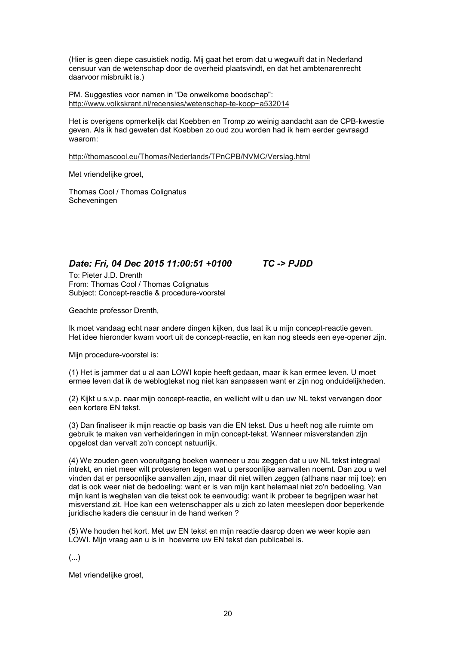(Hier is geen diepe casuistiek nodig. Mij gaat het erom dat u wegwuift dat in Nederland censuur van de wetenschap door de overheid plaatsvindt, en dat het ambtenarenrecht daarvoor misbruikt is.)

PM. Suggesties voor namen in "De onwelkome boodschap": http://www.volkskrant.nl/recensies/wetenschap-te-koop~a532014

Het is overigens opmerkelijk dat Koebben en Tromp zo weinig aandacht aan de CPB-kwestie geven. Als ik had geweten dat Koebben zo oud zou worden had ik hem eerder gevraagd waarom:

http://thomascool.eu/Thomas/Nederlands/TPnCPB/NVMC/Verslag.html

Met vriendelijke groet,

Thomas Cool / Thomas Colignatus Scheveningen

# *Date: Fri, 04 Dec 2015 11:00:51 +0100 TC -> PJDD*

To: Pieter J.D. Drenth From: Thomas Cool / Thomas Colignatus Subject: Concept-reactie & procedure-voorstel

Geachte professor Drenth,

Ik moet vandaag echt naar andere dingen kijken, dus laat ik u mijn concept-reactie geven. Het idee hieronder kwam voort uit de concept-reactie, en kan nog steeds een eye-opener zijn.

Mijn procedure-voorstel is:

(1) Het is jammer dat u al aan LOWI kopie heeft gedaan, maar ik kan ermee leven. U moet ermee leven dat ik de weblogtekst nog niet kan aanpassen want er zijn nog onduidelijkheden.

(2) Kijkt u s.v.p. naar mijn concept-reactie, en wellicht wilt u dan uw NL tekst vervangen door een kortere EN tekst.

(3) Dan finaliseer ik mijn reactie op basis van die EN tekst. Dus u heeft nog alle ruimte om gebruik te maken van verhelderingen in mijn concept-tekst. Wanneer misverstanden zijn opgelost dan vervalt zo'n concept natuurlijk.

(4) We zouden geen vooruitgang boeken wanneer u zou zeggen dat u uw NL tekst integraal intrekt, en niet meer wilt protesteren tegen wat u persoonlijke aanvallen noemt. Dan zou u wel vinden dat er persoonlijke aanvallen zijn, maar dit niet willen zeggen (althans naar mij toe): en dat is ook weer niet de bedoeling: want er is van mijn kant helemaal niet zo'n bedoeling. Van mijn kant is weghalen van die tekst ook te eenvoudig: want ik probeer te begrijpen waar het misverstand zit. Hoe kan een wetenschapper als u zich zo laten meeslepen door beperkende juridische kaders die censuur in de hand werken ?

(5) We houden het kort. Met uw EN tekst en mijn reactie daarop doen we weer kopie aan LOWI. Mijn vraag aan u is in hoeverre uw EN tekst dan publicabel is.

(...)

Met vriendelijke groet,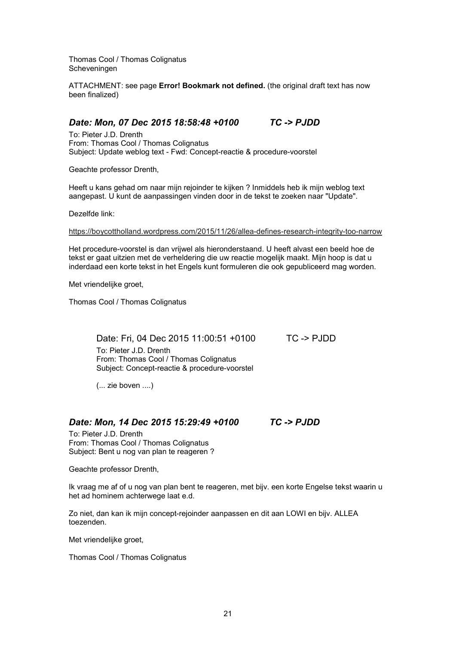Thomas Cool / Thomas Colignatus Scheveningen

ATTACHMENT: see page **Error! Bookmark not defined.** (the original draft text has now been finalized)

# *Date: Mon, 07 Dec 2015 18:58:48 +0100 TC -> PJDD*

To: Pieter J.D. Drenth From: Thomas Cool / Thomas Colignatus Subject: Update weblog text - Fwd: Concept-reactie & procedure-voorstel

Geachte professor Drenth,

Heeft u kans gehad om naar mijn rejoinder te kijken ? Inmiddels heb ik mijn weblog text aangepast. U kunt de aanpassingen vinden door in de tekst te zoeken naar "Update".

Dezelfde link:

https://boycottholland.wordpress.com/2015/11/26/allea-defines-research-integrity-too-narrow

Het procedure-voorstel is dan vrijwel als hieronderstaand. U heeft alvast een beeld hoe de tekst er gaat uitzien met de verheldering die uw reactie mogelijk maakt. Mijn hoop is dat u inderdaad een korte tekst in het Engels kunt formuleren die ook gepubliceerd mag worden.

Met vriendelijke groet,

Thomas Cool / Thomas Colignatus

Date: Fri, 04 Dec 2015 11:00:51 +0100 TC -> PJDD To: Pieter J.D. Drenth From: Thomas Cool / Thomas Colignatus Subject: Concept-reactie & procedure-voorstel

(... zie boven ....)

#### *Date: Mon, 14 Dec 2015 15:29:49 +0100 TC -> PJDD*

To: Pieter J.D. Drenth From: Thomas Cool / Thomas Colignatus Subject: Bent u nog van plan te reageren ?

Geachte professor Drenth,

Ik vraag me af of u nog van plan bent te reageren, met bijv. een korte Engelse tekst waarin u het ad hominem achterwege laat e.d.

Zo niet, dan kan ik mijn concept-rejoinder aanpassen en dit aan LOWI en bijv. ALLEA toezenden.

Met vriendelijke groet,

Thomas Cool / Thomas Colignatus